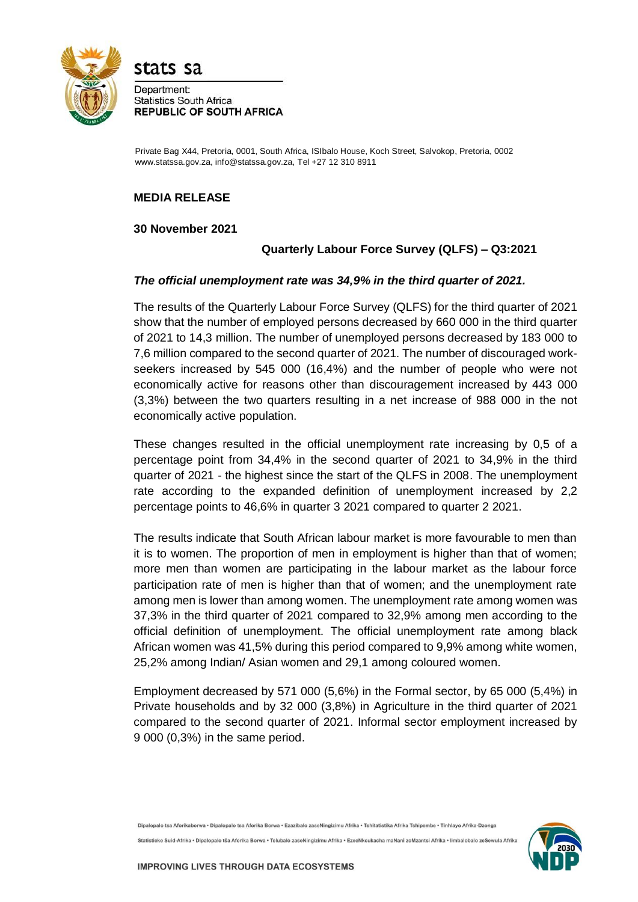

stats sa

Department: **Statistics South Africa REPUBLIC OF SOUTH AFRICA** 

Private Bag X44, Pretoria, 0001, South Africa, ISIbalo House, Koch Street, Salvokop, Pretoria, 0002 www.statssa.gov.za, info@statssa.gov.za, Tel +27 12 310 8911

# **MEDIA RELEASE**

## **30 November 2021**

# **Quarterly Labour Force Survey (QLFS) – Q3:2021**

## *The official unemployment rate was 34,9% in the third quarter of 2021.*

The results of the Quarterly Labour Force Survey (QLFS) for the third quarter of 2021 show that the number of employed persons decreased by 660 000 in the third quarter of 2021 to 14,3 million. The number of unemployed persons decreased by 183 000 to 7,6 million compared to the second quarter of 2021. The number of discouraged workseekers increased by 545 000 (16,4%) and the number of people who were not economically active for reasons other than discouragement increased by 443 000 (3,3%) between the two quarters resulting in a net increase of 988 000 in the not economically active population.

These changes resulted in the official unemployment rate increasing by 0,5 of a percentage point from 34,4% in the second quarter of 2021 to 34,9% in the third quarter of 2021 - the highest since the start of the QLFS in 2008. The unemployment rate according to the expanded definition of unemployment increased by 2,2 percentage points to 46,6% in quarter 3 2021 compared to quarter 2 2021.

The results indicate that South African labour market is more favourable to men than it is to women. The proportion of men in employment is higher than that of women; more men than women are participating in the labour market as the labour force participation rate of men is higher than that of women; and the unemployment rate among men is lower than among women. The unemployment rate among women was 37,3% in the third quarter of 2021 compared to 32,9% among men according to the official definition of unemployment. The official unemployment rate among black African women was 41,5% during this period compared to 9,9% among white women, 25,2% among Indian/ Asian women and 29,1 among coloured women.

Employment decreased by 571 000 (5,6%) in the Formal sector, by 65 000 (5,4%) in Private households and by 32 000 (3,8%) in Agriculture in the third quarter of 2021 compared to the second quarter of 2021. Informal sector employment increased by 9 000 (0,3%) in the same period.

Dipalopalo tsa Aforikaborwa • Dipalopalo tsa Aforika Borwa • Ezazibalo zaseNingizimu Afrika • Tshitatistika Afrika Tshipembe • Tinhlavo Afrika-Dzonga Statistieke Suid-Afrika • Dipalopalo tša Aforika Borwa • Telubalo zaseNingizimu Afrika • EzeeNkcukacha maNani zoMzantsi Afrika • limbalobalo zeSewula Afrika